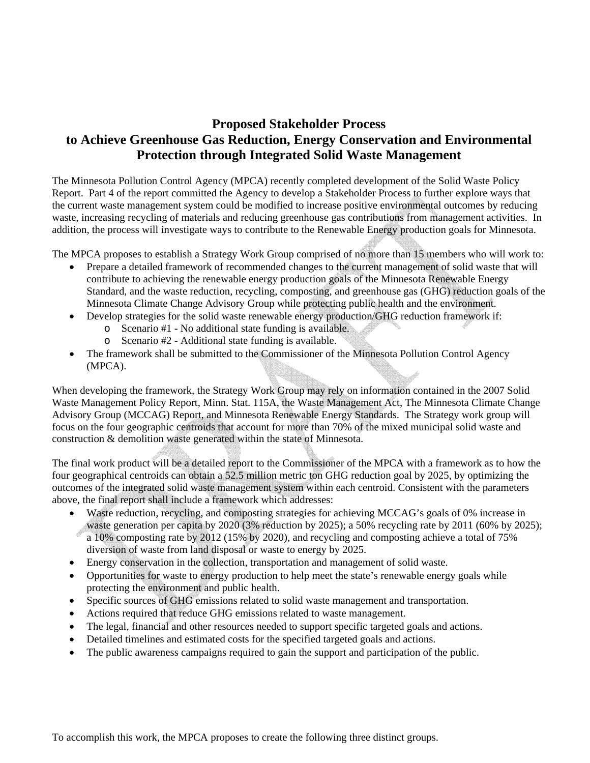## **Proposed Stakeholder Process to Achieve Greenhouse Gas Reduction, Energy Conservation and Environmental Protection through Integrated Solid Waste Management**

The Minnesota Pollution Control Agency (MPCA) recently completed development of the Solid Waste Policy Report. Part 4 of the report committed the Agency to develop a Stakeholder Process to further explore ways that the current waste management system could be modified to increase positive environmental outcomes by reducing waste, increasing recycling of materials and reducing greenhouse gas contributions from management activities. In addition, the process will investigate ways to contribute to the Renewable Energy production goals for Minnesota.

The MPCA proposes to establish a Strategy Work Group comprised of no more than 15 members who will work to:

- Prepare a detailed framework of recommended changes to the current management of solid waste that will contribute to achieving the renewable energy production goals of the Minnesota Renewable Energy Standard, and the waste reduction, recycling, composting, and greenhouse gas (GHG) reduction goals of the Minnesota Climate Change Advisory Group while protecting public health and the environment.
- Develop strategies for the solid waste renewable energy production/GHG reduction framework if:
	- o Scenario #1 No additional state funding is available.
	- o Scenario #2 Additional state funding is available.
- The framework shall be submitted to the Commissioner of the Minnesota Pollution Control Agency (MPCA).

When developing the framework, the Strategy Work Group may rely on information contained in the 2007 Solid Waste Management Policy Report, Minn. Stat. 115A, the Waste Management Act, The Minnesota Climate Change Advisory Group (MCCAG) Report, and Minnesota Renewable Energy Standards. The Strategy work group will focus on the four geographic centroids that account for more than 70% of the mixed municipal solid waste and construction & demolition waste generated within the state of Minnesota.

The final work product will be a detailed report to the Commissioner of the MPCA with a framework as to how the four geographical centroids can obtain a 52.5 million metric ton GHG reduction goal by 2025, by optimizing the outcomes of the integrated solid waste management system within each centroid. Consistent with the parameters above, the final report shall include a framework which addresses:

- Waste reduction, recycling, and composting strategies for achieving MCCAG's goals of 0% increase in waste generation per capita by 2020 (3% reduction by 2025); a 50% recycling rate by 2011 (60% by 2025); a 10% composting rate by 2012 (15% by 2020), and recycling and composting achieve a total of 75% diversion of waste from land disposal or waste to energy by 2025.
- Energy conservation in the collection, transportation and management of solid waste.
- Opportunities for waste to energy production to help meet the state's renewable energy goals while protecting the environment and public health.
- Specific sources of GHG emissions related to solid waste management and transportation.
- Actions required that reduce GHG emissions related to waste management.
- The legal, financial and other resources needed to support specific targeted goals and actions.
- Detailed timelines and estimated costs for the specified targeted goals and actions.
- The public awareness campaigns required to gain the support and participation of the public.

To accomplish this work, the MPCA proposes to create the following three distinct groups.